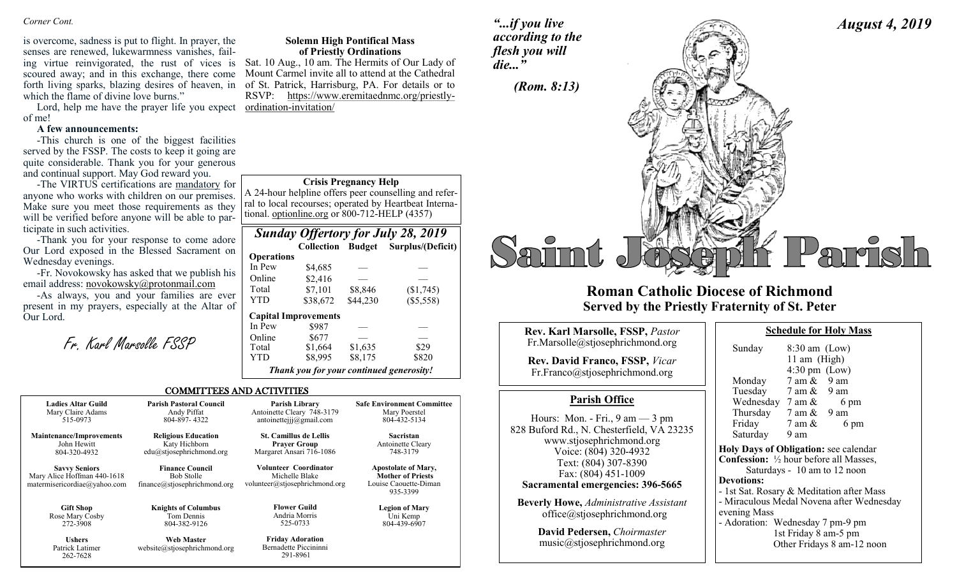is overcome, sadness is put to flight. In prayer, the senses are renewed, lukewarmness vanishes, failing virtue reinvigorated, the rust of vices is Sat. 10 Aug., 10 am. The Hermits of Our Lady of scoured away; and in this exchange, there come forth living sparks, blazing desires of heaven, in of St. Patrick, Harrisburg, PA. For details or to which the flame of divine love burns."

Lord, help me have the prayer life you expect of me!

### **A few announcements:**

262-7628

-This church is one of the biggest facilities served by the FSSP. The costs to keep it going are quite considerable. Thank you for your generous and continual support. May God reward you.

-The VIRTUS certifications are mandatory for anyone who works with children on our premises. Make sure you meet those requirements as they will be verified before anyone will be able to participate in such activities.

-Thank you for your response to come adore Our Lord exposed in the Blessed Sacrament on Wednesday evenings.

-Fr. Novokowsky has asked that we publish his email address: [novokowsky@protonmail.com](mailto:novokowsky@protonmail.com)

-As always, you and your families are ever present in my prayers, especially at the Altar of Our Lord.

Fr. Karl Marsolle FSSP

| <b>Solemn High Pontifical Mass</b> |  |
|------------------------------------|--|
| of Priestly Ordinations            |  |

Mount Carmel invite all to attend at the Cathedral RSVP: https://www.eremitaednmc.org/priestlyordination-invitation/

#### **Crisis Pregnancy Help**

A 24-hour helpline offers peer counselling and referral to local recourses; operated by Heartbeat International. optionline.org or 800-712-HELP (4357)

| <b>Sunday Offertory for July 28, 2019</b> |                                          |          |                                     |
|-------------------------------------------|------------------------------------------|----------|-------------------------------------|
|                                           |                                          |          | Collection Budget Surplus/(Deficit) |
| <b>Operations</b>                         |                                          |          |                                     |
| In Pew                                    | \$4,685                                  |          |                                     |
| Online                                    | \$2,416                                  |          |                                     |
| Total                                     | \$7,101                                  | \$8,846  | (\$1,745)                           |
| YTD                                       | \$38,672                                 | \$44,230 | (\$5,558)                           |
|                                           | <b>Capital Improvements</b>              |          |                                     |
| In Pew                                    | \$987                                    |          |                                     |
| Online                                    | \$677                                    |          |                                     |
| Total                                     | \$1,664                                  | \$1,635  | \$29                                |
| <b>YTD</b>                                | \$8,995                                  | \$8,175  | \$820                               |
|                                           | Thank you for your continued generosity! |          |                                     |

#### COMMITTEES AND ACTIVITIES

| <b>Ladies Altar Guild</b>                                                           | <b>Parish Pastoral Council</b>                                              | Parish Library                                                            | <b>Safe Environment Committee</b>                                                           |
|-------------------------------------------------------------------------------------|-----------------------------------------------------------------------------|---------------------------------------------------------------------------|---------------------------------------------------------------------------------------------|
| Mary Claire Adams                                                                   | Andy Piffat                                                                 | Antoinette Cleary 748-3179                                                | Mary Poerstel                                                                               |
| 515-0973                                                                            | 804-897-4322                                                                | antoinettejjj@gmail.com                                                   | 804-432-5134                                                                                |
| <b>Maintenance/Improvements</b>                                                     | <b>Religious Education</b>                                                  | <b>St. Camillus de Lellis</b>                                             | <b>Sacristan</b>                                                                            |
| John Hewitt                                                                         | Katy Hichborn                                                               | <b>Prayer Group</b>                                                       | Antoinette Cleary                                                                           |
| 804-320-4932                                                                        | edu@stjosephrichmond.org                                                    | Margaret Ansari 716-1086                                                  | 748-3179                                                                                    |
| <b>Savvy Seniors</b><br>Mary Alice Hoffman 440-1618<br>matermisericordiae@yahoo.com | <b>Finance Council</b><br><b>Bob Stolle</b><br>finance@stjosephrichmond.org | Volunteer Coordinator<br>Michelle Blake<br>volunteer@stjosephrichmond.org | <b>Apostolate of Mary,</b><br><b>Mother of Priests</b><br>Louise Caouette-Diman<br>935-3399 |
| <b>Gift Shop</b>                                                                    | <b>Knights of Columbus</b>                                                  | <b>Flower Guild</b>                                                       | <b>Legion of Mary</b>                                                                       |
| Rose Mary Cosby                                                                     | Tom Dennis                                                                  | Andria Morris                                                             | Uni Kemp                                                                                    |
| 272-3908                                                                            | 804-382-9126                                                                | 525-0733                                                                  | 804-439-6907                                                                                |
| <b>Ushers</b>                                                                       | <b>Web Master</b>                                                           | <b>Friday Adoration</b>                                                   |                                                                                             |
| Patrick Latimer                                                                     | website@stiosephrichmond.org                                                | Bernadette Piccininni                                                     |                                                                                             |

291-8961

## *"...if you live according to the flesh you will die..."*



# **Roman Catholic Diocese of Richmond Served by the Priestly Fraternity of St. Peter**

| Rev. Karl Marsolle, FSSP, Pastor                                                                                           | <b>Schedule for Holy Mass</b>                                                                                                   |
|----------------------------------------------------------------------------------------------------------------------------|---------------------------------------------------------------------------------------------------------------------------------|
| Fr.Marsolle@stjosephrichmond.org                                                                                           | Sunday<br>$8:30$ am (Low)                                                                                                       |
| Rev. David Franco, FSSP, Vicar<br>Fr.Franco@stjosephrichmond.org                                                           | 11 am $(High)$<br>$4:30 \text{ pm}$ (Low)<br>7 am &<br>9 am<br>Monday                                                           |
| <b>Parish Office</b>                                                                                                       | Tuesday 7 am & 9 am<br>Wednesday $7 \text{ am } \& 6 \text{ pm}$                                                                |
| Hours: Mon. - Fri., $9 \text{ am} - 3 \text{ pm}$<br>828 Buford Rd., N. Chesterfield, VA 23235<br>www.stjosephrichmond.org | Thursday $7 \text{ am } \& 9 \text{ am}$<br>Friday<br>7 am &<br>6 pm<br>Saturday<br>9 am                                        |
| Voice: (804) 320-4932<br>Text: (804) 307-8390<br>Fax: (804) 451-1009                                                       | Holy Days of Obligation: see calenda<br><b>Confession:</b> $\frac{1}{2}$ hour before all Masses<br>Saturdays - 10 am to 12 noon |
| Sacramental emergencies: 396-5665                                                                                          | <b>Devotions:</b><br>- 1st Sat. Rosary & Meditation after M                                                                     |
| <b>Beverly Howe, Administrative Assistant</b><br>office@stjosephrichmond.org                                               | - Miraculous Medal Novena after Wed<br>evening Mass<br>- Adoration: Wednesday 7 pm-9 pm                                         |
| David Pedersen, Choirmaster<br>music@stjosephrichmond.org                                                                  | 1st Friday 8 am-5 pm<br>Other Fridavs 8 am-12 no                                                                                |

| Sunday                                                   | $8:30$ am (Low)         |                                           |
|----------------------------------------------------------|-------------------------|-------------------------------------------|
|                                                          | 11 am (High)            |                                           |
|                                                          | $4:30 \text{ pm}$ (Low) |                                           |
| Monday                                                   | $7$ am $\&$ 9 am        |                                           |
| Tuesday 7 am & 9 am                                      |                         |                                           |
| Wednesday $7 \text{ am } \&$                             |                         | 6 pm                                      |
| Thursday $7 \text{ am } \& 9 \text{ am}$                 |                         |                                           |
| Friday $7 \text{ am } \&$                                |                         | 6 pm                                      |
| Saturday 9 am                                            |                         |                                           |
| Holy Days of Obligation: see calendar                    |                         |                                           |
| <b>Confession:</b> $\frac{1}{2}$ hour before all Masses, |                         |                                           |
|                                                          |                         | Saturdays - 10 am to 12 noon              |
| <b>Devotions:</b>                                        |                         |                                           |
| - 1st Sat. Rosary & Meditation after Mass                |                         |                                           |
|                                                          |                         | - Miraculous Medal Novena after Wednesday |
| evening Mass                                             |                         |                                           |
| - Adoration: Wednesday 7 pm-9 pm                         |                         |                                           |
|                                                          | 1st Friday 8 am-5 nm    |                                           |

*August 4, 2019*

1st Friday 8 am-5 pm Other Fridays 8 am-12 noon